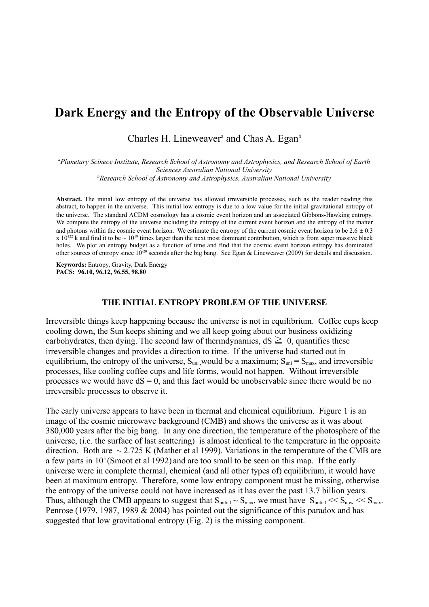# **Dark Energy and the Entropy of the Observable Universe**

Charles H. Lineweaver<sup>a</sup> and Chas A. Egan<sup>b</sup>

*a Planetary Scinece Institute, Research School of Astronomy and Astrophysics, and Research School of Earth Sciences Australian National University b Research School of Astronomy and Astrophysics, Australian National University*

**Abstract.** The initial low entropy of the universe has allowed irreversible processes, such as the reader reading this abstract, to happen in the universe. This initial low entropy is due to a low value for the initial gravitational entropy of the universe. The standard CDM cosmology has a cosmic event horizon and an associated Gibbons-Hawking entropy. We compute the entropy of the universe including the entropy of the current event horizon and the entropy of the matter and photons within the cosmic event horizon. We estimate the entropy of the current cosmic event horizon to be  $2.6 \pm 0.3$ x  $10^{122}$  k and find it to be  $\sim 10^{19}$  times larger than the next most dominant contribution, which is from super massive black holes. We plot an entropy budget as a function of time and find that the cosmic event horizon entropy has dominated other sources of entropy since  $10^{-20}$  seconds after the big bang. See Egan & Lineweaver (2009) for details and discussion.

**Keywords:** Entropy, Gravity, Dark Energy **PACS: 96.10, 96.12, 96.55, 98.80**

#### **THE INITIAL ENTROPY PROBLEM OF THE UNIVERSE**

Irreversible things keep happening because the universe is not in equilibrium. Coffee cups keep cooling down, the Sun keeps shining and we all keep going about our business oxidizing carbohydrates, then dying. The second law of thermdynamics,  $dS \geq 0$ , quantifies these irreversible changes and provides a direction to time. If the universe had started out in equilibrium, the entropy of the universe,  $S_{uni}$  would be a maximum;  $S_{uni} = S_{max}$ , and irreversible processes, like cooling coffee cups and life forms, would not happen. Without irreversible processes we would have  $dS = 0$ , and this fact would be unobservable since there would be no irreversible processes to observe it.

The early universe appears to have been in thermal and chemical equilibrium. Figure 1 is an image of the cosmic microwave background (CMB) and shows the universe as it was about 380,000 years after the big bang. In any one direction, the temperature of the photosphere of the universe, (i.e. the surface of last scattering) is almost identical to the temperature in the opposite direction. Both are  $\sim$  2.725 K (Mather et al 1999). Variations in the temperature of the CMB are a few parts in  $10<sup>5</sup>$  (Smoot et al 1992) and are too small to be seen on this map. If the early universe were in complete thermal, chemical (and all other types of) equilibrium, it would have been at maximum entropy. Therefore, some low entropy component must be missing, otherwise the entropy of the universe could not have increased as it has over the past 13.7 billion years. Thus, although the CMB appears to suggest that  $S_{initial} \sim S_{max}$ , we must have  $S_{initial} \ll S_{now} \ll S_{max}$ . Penrose (1979, 1987, 1989 & 2004) has pointed out the significance of this paradox and has suggested that low gravitational entropy (Fig. 2) is the missing component.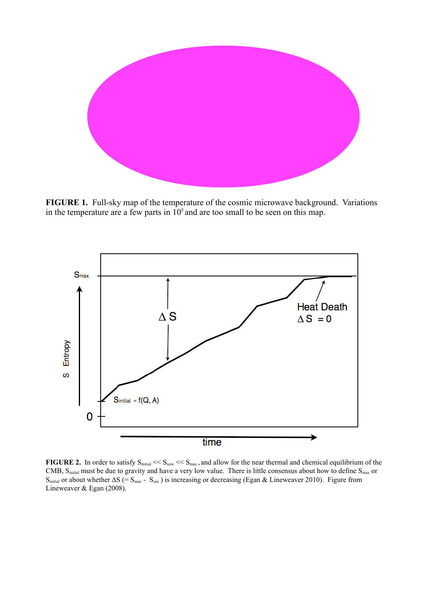

**FIGURE 1.** Full-sky map of the temperature of the cosmic microwave background. Variations in the temperature are a few parts in  $10<sup>5</sup>$  and are too small to be seen on this map.



**FIGURE 2.** In order to satisfy  $S_{initial} \ll S_{now} \ll S_{max}$ , and allow for the near thermal and chemical equilibrium of the CMB,  $S<sub>initial</sub>$  must be due to gravity and have a very low value. There is little consensus about how to define  $S<sub>max</sub>$  or  $S<sub>initial</sub>$  or about whether  $\Delta S$  (=  $S<sub>max</sub>$  -  $S<sub>uni</sub>$ ) is increasing or decreasing (Egan & Lineweaver 2010). Figure from Lineweaver & Egan (2008).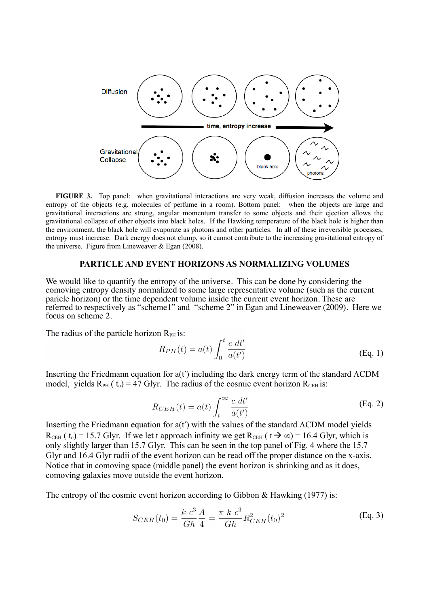

**FIGURE 3.** Top panel: when gravitational interactions are very weak, diffusion increases the volume and entropy of the objects (e.g. molecules of perfume in a room). Bottom panel: when the objects are large and gravitational interactions are strong, angular momentum transfer to some objects and their ejection allows the gravitational collapse of other objects into black holes. If the Hawking temperature of the black hole is higher than the environment, the black hole will evaporate as photons and other particles. In all of these irreversible processes, entropy must increase. Dark energy does not clump, so it cannot contribute to the increasing gravitational entropy of the universe. Figure from Lineweaver  $& Egan (2008)$ .

# **PARTICLE AND EVENT HORIZONS AS NORMALIZING VOLUMES**

We would like to quantify the entropy of the universe. This can be done by considering the comoving entropy density normalized to some large representative volume (such as the current paricle horizon) or the time dependent volume inside the current event horizon. These are referred to respectively as "scheme1" and "scheme 2" in Egan and Lineweaver (2009). Here we focus on scheme 2.

The radius of the particle horizon  $R_{PH}$  is:

$$
R_{PH}(t) = a(t) \int_0^t \frac{c \, dt'}{a(t')}
$$
\n(Eq. 1)

Inserting the Friedmann equation for  $a(t')$  including the dark energy term of the standard  $\Lambda$ CDM model, yields  $R_{PH}$  ( $t_0$ ) = 47 Glyr. The radius of the cosmic event horizon  $R_{CH}$  is:

$$
R_{CEH}(t) = a(t) \int_{t}^{\infty} \frac{c \, dt'}{a(t')}
$$
 (Eq. 2)

Inserting the Friedmann equation for  $a(t')$  with the values of the standard  $\Lambda CDM$  model yields  $R_{\text{CEH}}$  ( t<sub>o</sub>) = 15.7 Glyr. If we let t approach infinity we get  $R_{\text{CEH}}$  (  $t \rightarrow \infty$ ) = 16.4 Glyr, which is only slightly larger than 15.7 Glyr. This can be seen in the top panel of Fig. 4 where the 15.7 Glyr and 16.4 Glyr radii of the event horizon can be read off the proper distance on the x-axis. Notice that in comoving space (middle panel) the event horizon is shrinking and as it does, comoving galaxies move outside the event horizon.

The entropy of the cosmic event horizon according to Gibbon  $\&$  Hawking (1977) is:

$$
S_{CEH}(t_0) = \frac{k \ c^3}{G\hbar} \frac{A}{4} = \frac{\pi \ k \ c^3}{G\hbar} R_{CEH}^2(t_0)^2
$$
 (Eq. 3)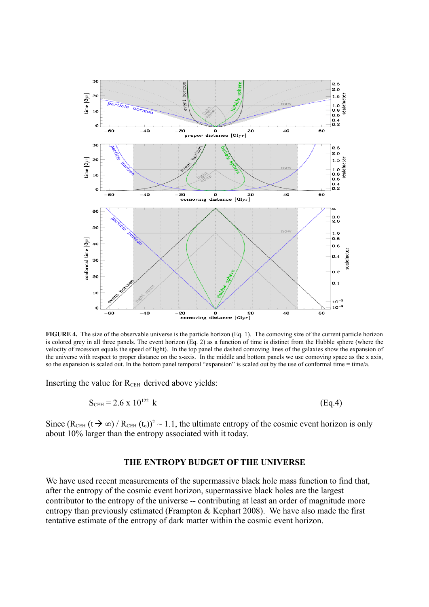

**FIGURE 4.** The size of the observable universe is the particle horizon (Eq. 1). The comoving size of the current particle horizon is colored grey in all three panels. The event horizon (Eq. 2) as a function of time is distinct from the Hubble sphere (where the velocity of recession equals the speed of light). In the top panel the dashed comoving lines of the galaxies show the expansion of the universe with respect to proper distance on the x-axis. In the middle and bottom panels we use comoving space as the x axis, so the expansion is scaled out. In the bottom panel temporal "expansion" is scaled out by the use of conformal time = time/a.

Inserting the value for  $R<sub>CEH</sub>$  derived above yields:

$$
S_{\text{CEH}} = 2.6 \times 10^{122} \text{ k} \tag{Eq.4}
$$

Since  $(R_{\text{CEH}} (t \rightarrow \infty) / R_{\text{CEH}} (t_0))^2 \sim 1.1$ , the ultimate entropy of the cosmic event horizon is only about 10% larger than the entropy associated with it today.

#### **THE ENTROPY BUDGET OF THE UNIVERSE**

We have used recent measurements of the supermassive black hole mass function to find that, after the entropy of the cosmic event horizon, supermassive black holes are the largest contributor to the entropy of the universe -- contributing at least an order of magnitude more entropy than previously estimated (Frampton & Kephart 2008). We have also made the first tentative estimate of the entropy of dark matter within the cosmic event horizon.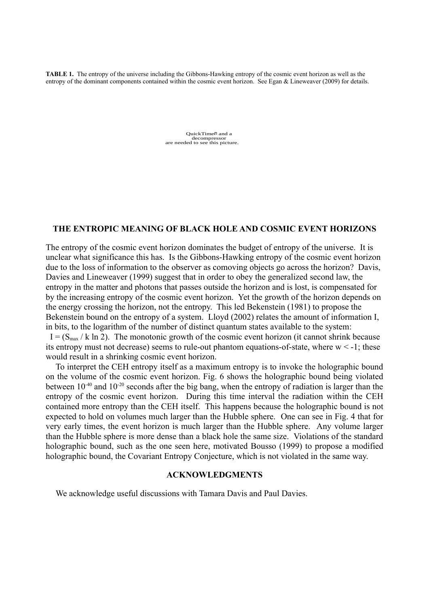**TABLE 1.** The entropy of the universe including the Gibbons-Hawking entropy of the cosmic event horizon as well as the entropy of the dominant components contained within the cosmic event horizon. See Egan & Lineweaver (2009) for details.

> QuickTimeᆰ and a decompressor are needed to see this picture.

## **THE ENTROPIC MEANING OF BLACK HOLE AND COSMIC EVENT HORIZONS**

The entropy of the cosmic event horizon dominates the budget of entropy of the universe. It is unclear what significance this has. Is the Gibbons-Hawking entropy of the cosmic event horizon due to the loss of information to the observer as comoving objects go across the horizon? Davis, Davies and Lineweaver (1999) suggest that in order to obey the generalized second law, the entropy in the matter and photons that passes outside the horizon and is lost, is compensated for by the increasing entropy of the cosmic event horizon. Yet the growth of the horizon depends on the energy crossing the horizon, not the entropy. This led Bekenstein (1981) to propose the Bekenstein bound on the entropy of a system. Lloyd (2002) relates the amount of information I, in bits, to the logarithm of the number of distinct quantum states available to the system:  $I = (S_{\text{max}} / k \ln 2)$ . The monotonic growth of the cosmic event horizon (it cannot shrink because its entropy must not decrease) seems to rule-out phantom equations-of-state, where  $w < -1$ ; these would result in a shrinking cosmic event horizon.

To interpret the CEH entropy itself as a maximum entropy is to invoke the holographic bound on the volume of the cosmic event horizon. Fig. 6 shows the holographic bound being violated between 10<sup>-40</sup> and 10<sup>-20</sup> seconds after the big bang, when the entropy of radiation is larger than the entropy of the cosmic event horizon. During this time interval the radiation within the CEH contained more entropy than the CEH itself. This happens because the holographic bound is not expected to hold on volumes much larger than the Hubble sphere. One can see in Fig. 4 that for very early times, the event horizon is much larger than the Hubble sphere. Any volume larger than the Hubble sphere is more dense than a black hole the same size. Violations of the standard holographic bound, such as the one seen here, motivated Bousso (1999) to propose a modified holographic bound, the Covariant Entropy Conjecture, which is not violated in the same way.

### **ACKNOWLEDGMENTS**

We acknowledge useful discussions with Tamara Davis and Paul Davies.